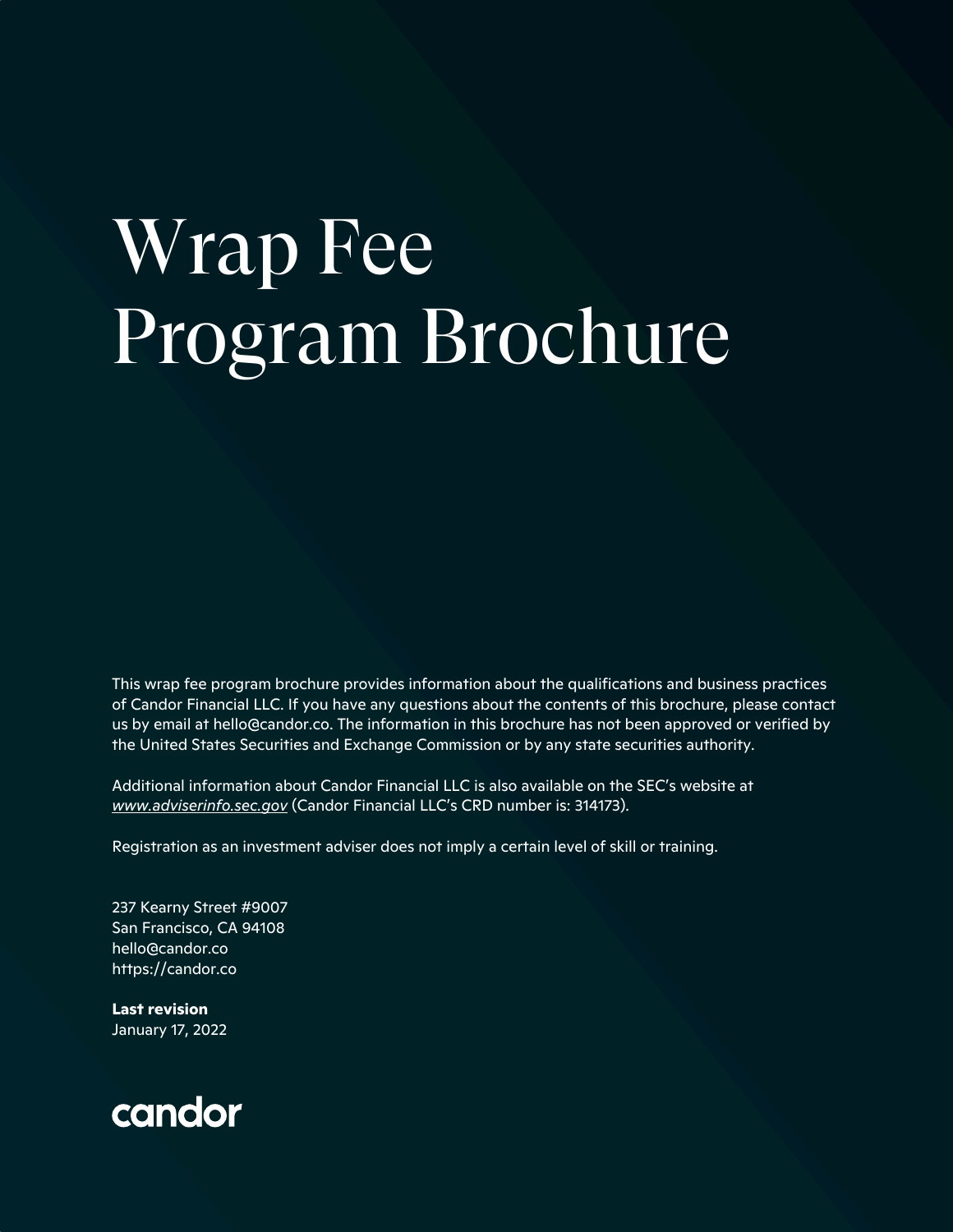# Wrap Fee Program Brochure

This wrap fee program brochure provides information about the qualifications and business practices of Candor Financial LLC. If you have any questions about the contents of this brochure, please contact us by email at hello@candor.co. The information in this brochure has not been approved or verified by the United States Securities and Exchange Commission or by any state securities authority.

Additional information about Candor Financial LLC is also available on the SEC's website at *www.adviserinfo.sec.gov* (Candor Financial LLC's CRD number is: 314173).

Registration as an investment adviser does not imply a certain level of skill or training.

237 Kearny Street #9007 San Francisco, CA 94108 hello@candor.co https://candor.co

**Last revision** January 17, 2022

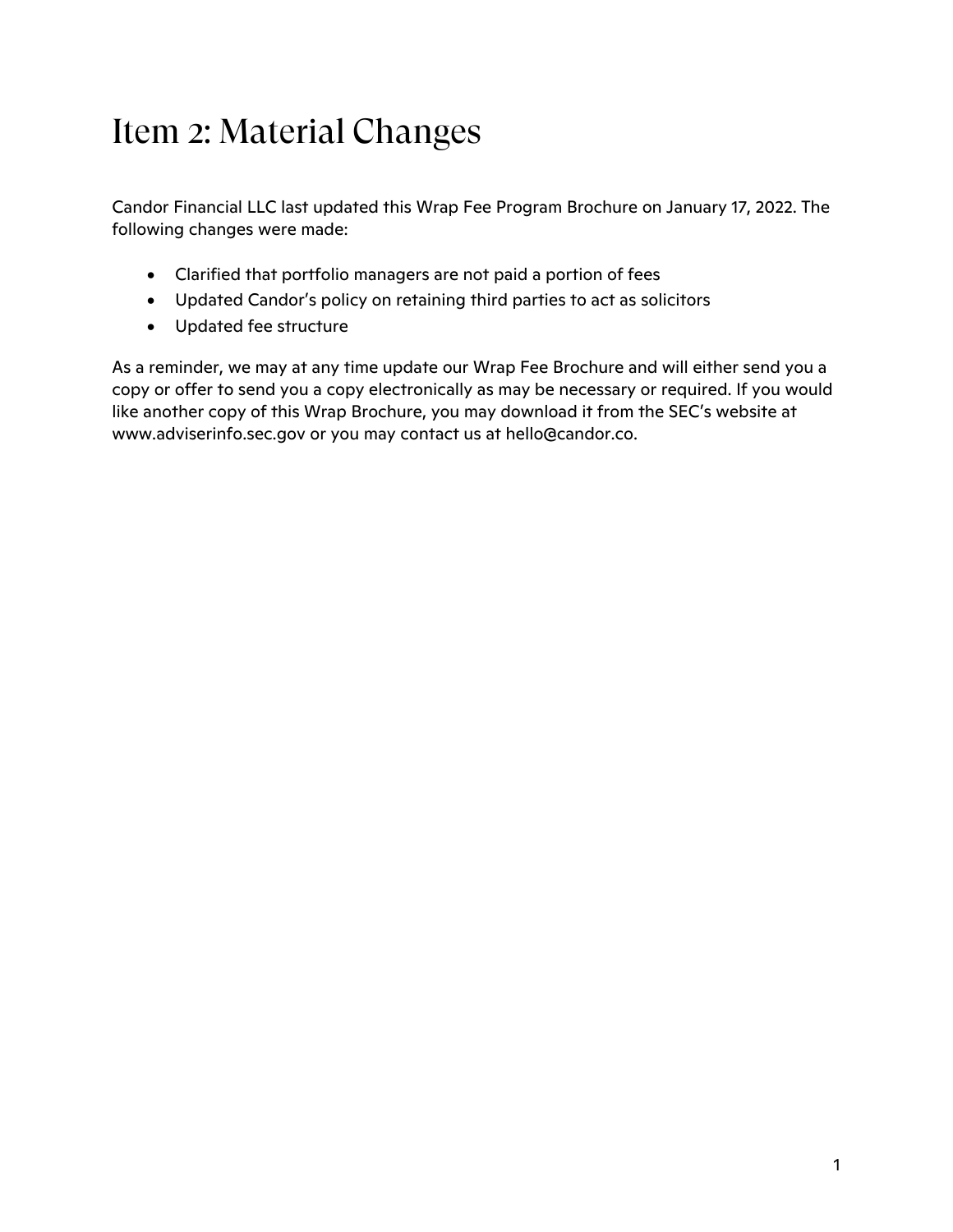# Item 2: Material Changes

Candor Financial LLC last updated this Wrap Fee Program Brochure on January 17, 2022. The following changes were made:

- Clarified that portfolio managers are not paid a portion of fees
- Updated Candor's policy on retaining third parties to act as solicitors
- Updated fee structure

As a reminder, we may at any time update our Wrap Fee Brochure and will either send you a copy or offer to send you a copy electronically as may be necessary or required. If you would like another copy of this Wrap Brochure, you may download it from the SEC's website at www.adviserinfo.sec.gov or you may contact us at hello@candor.co.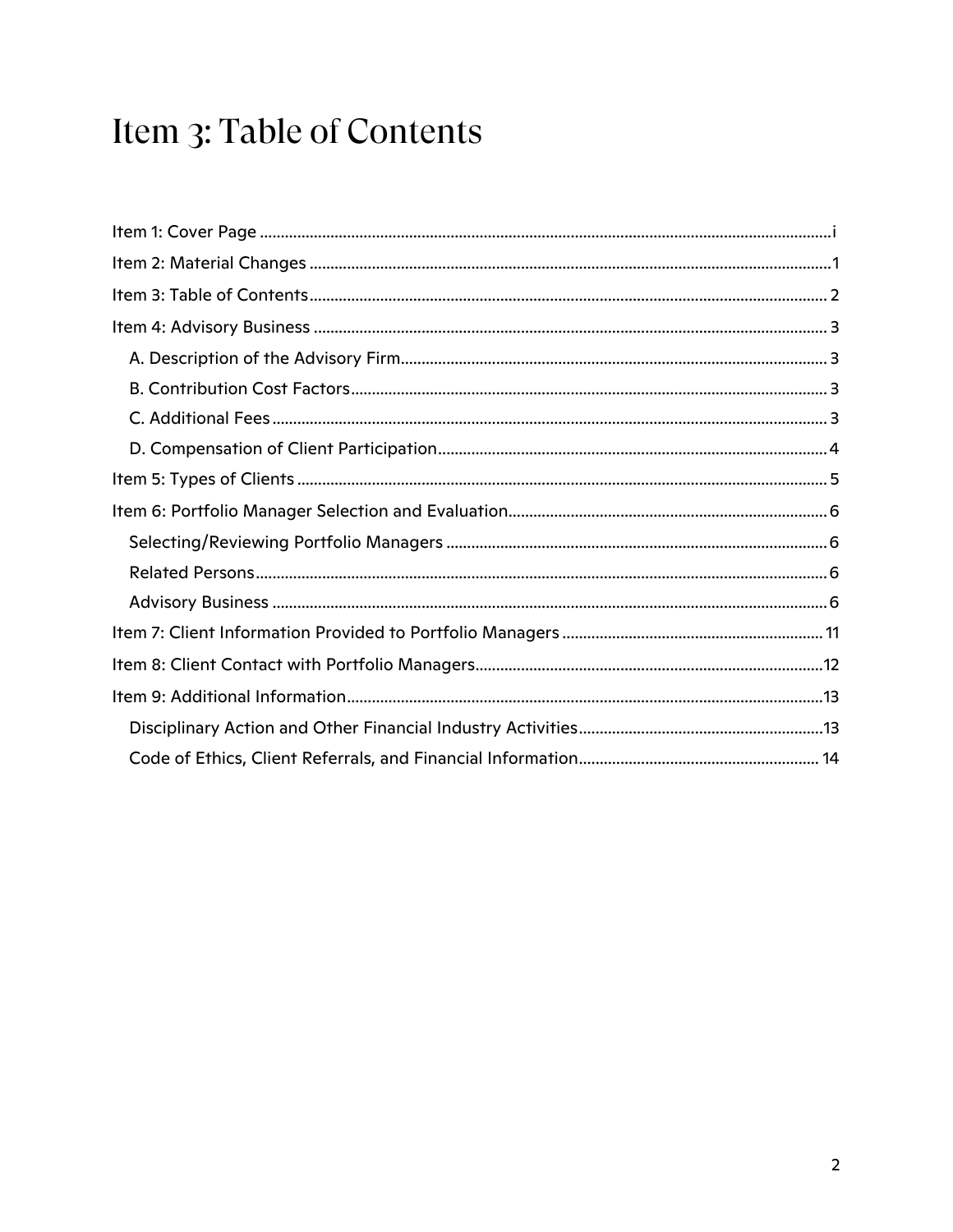# Item 3: Table of Contents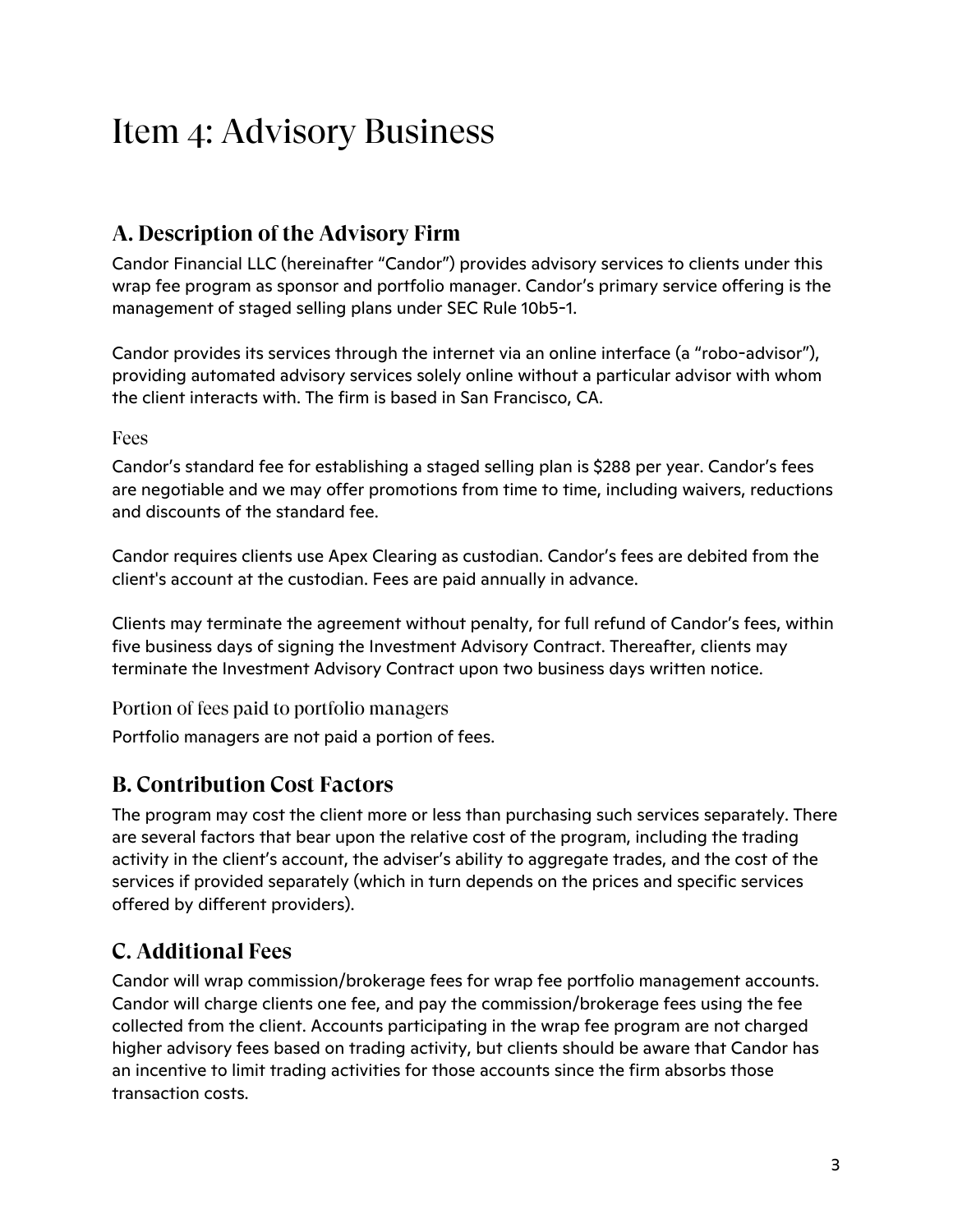# Item 4: Advisory Business

## **A. Description of the Advisory Firm**

Candor Financial LLC (hereinafter "Candor") provides advisory services to clients under this wrap fee program as sponsor and portfolio manager. Candor's primary service offering is the management of staged selling plans under SEC Rule 10b5-1.

Candor provides its services through the internet via an online interface (a "robo-advisor"), providing automated advisory services solely online without a particular advisor with whom the client interacts with. The firm is based in San Francisco, CA.

#### Fees

Candor's standard fee for establishing a staged selling plan is \$288 per year. Candor's fees are negotiable and we may offer promotions from time to time, including waivers, reductions and discounts of the standard fee.

Candor requires clients use Apex Clearing as custodian. Candor's fees are debited from the client's account at the custodian. Fees are paid annually in advance.

Clients may terminate the agreement without penalty, for full refund of Candor's fees, within five business days of signing the Investment Advisory Contract. Thereafter, clients may terminate the Investment Advisory Contract upon two business days written notice.

Portion of fees paid to portfolio managers

Portfolio managers are not paid a portion of fees.

### **B. Contribution Cost Factors**

The program may cost the client more or less than purchasing such services separately. There are several factors that bear upon the relative cost of the program, including the trading activity in the client's account, the adviser's ability to aggregate trades, and the cost of the services if provided separately (which in turn depends on the prices and specific services offered by different providers).

### **C. Additional Fees**

Candor will wrap commission/brokerage fees for wrap fee portfolio management accounts. Candor will charge clients one fee, and pay the commission/brokerage fees using the fee collected from the client. Accounts participating in the wrap fee program are not charged higher advisory fees based on trading activity, but clients should be aware that Candor has an incentive to limit trading activities for those accounts since the firm absorbs those transaction costs.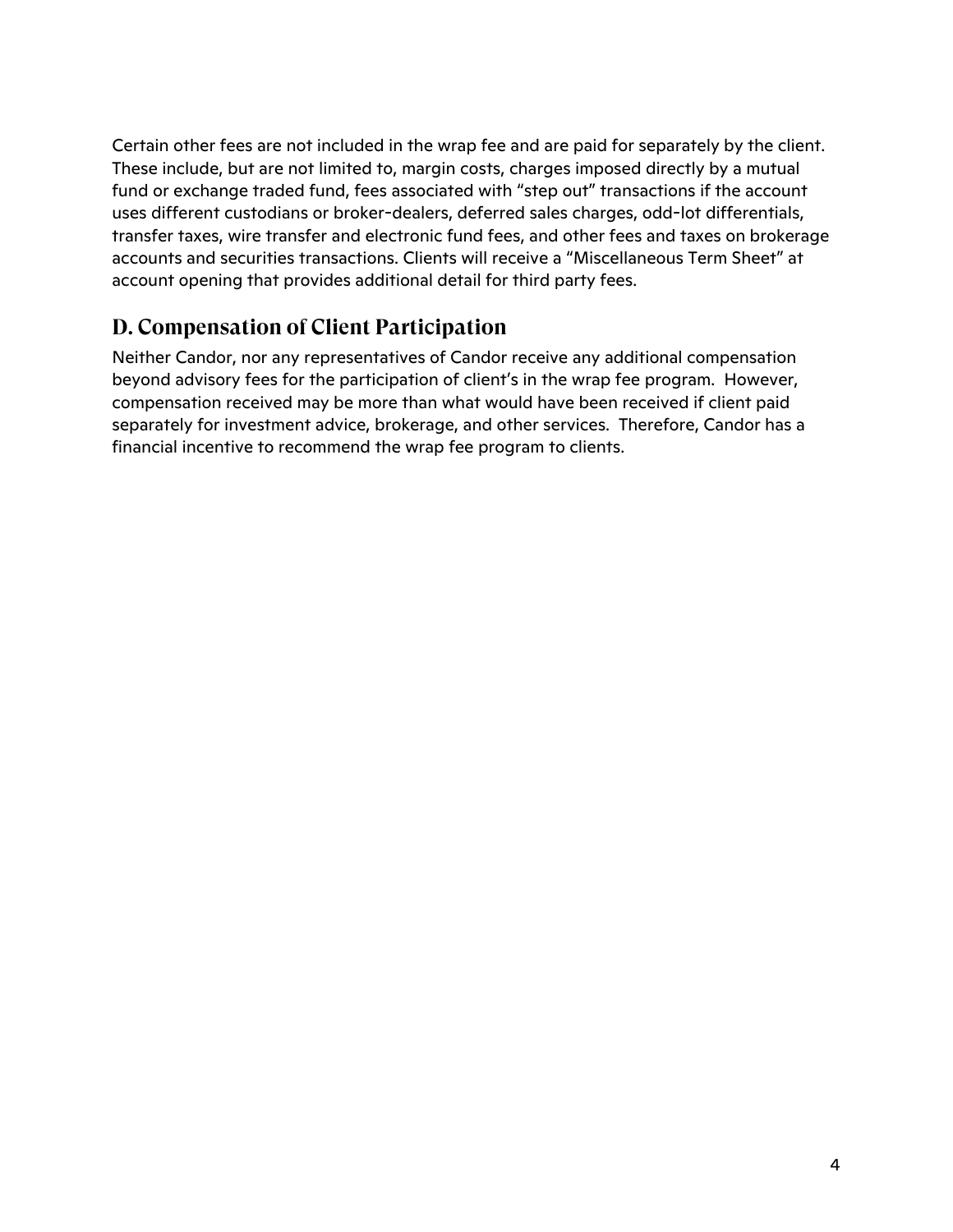Certain other fees are not included in the wrap fee and are paid for separately by the client. These include, but are not limited to, margin costs, charges imposed directly by a mutual fund or exchange traded fund, fees associated with "step out" transactions if the account uses different custodians or broker-dealers, deferred sales charges, odd-lot differentials, transfer taxes, wire transfer and electronic fund fees, and other fees and taxes on brokerage accounts and securities transactions. Clients will receive a "Miscellaneous Term Sheet" at account opening that provides additional detail for third party fees.

### **D. Compensation of Client Participation**

Neither Candor, nor any representatives of Candor receive any additional compensation beyond advisory fees for the participation of client's in the wrap fee program. However, compensation received may be more than what would have been received if client paid separately for investment advice, brokerage, and other services. Therefore, Candor has a financial incentive to recommend the wrap fee program to clients.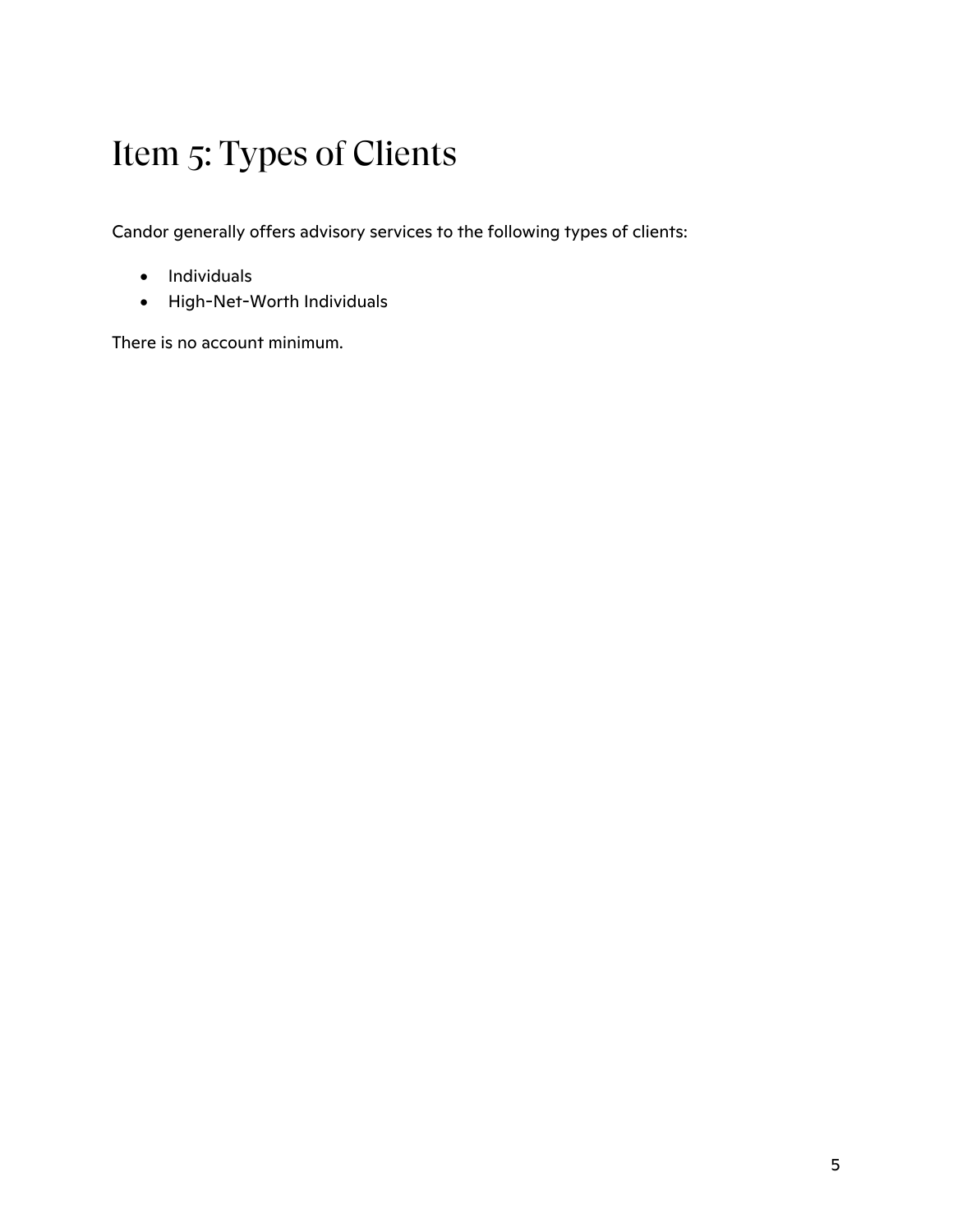# Item 5: Types of Clients

Candor generally offers advisory services to the following types of clients:

- Individuals
- High-Net-Worth Individuals

There is no account minimum.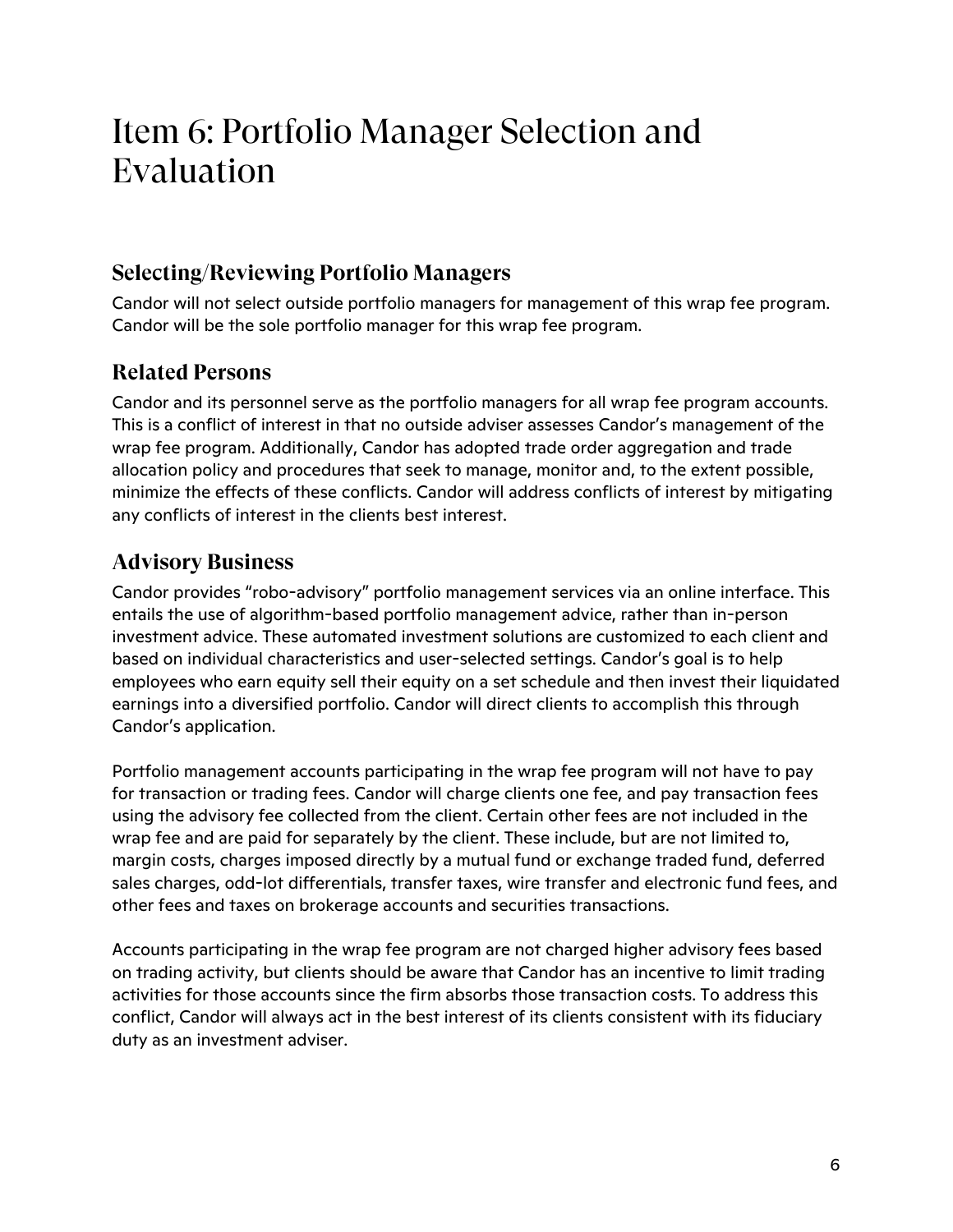# Item 6: Portfolio Manager Selection and Evaluation

### **Selecting/Reviewing Portfolio Managers**

Candor will not select outside portfolio managers for management of this wrap fee program. Candor will be the sole portfolio manager for this wrap fee program.

### **Related Persons**

Candor and its personnel serve as the portfolio managers for all wrap fee program accounts. This is a conflict of interest in that no outside adviser assesses Candor's management of the wrap fee program. Additionally, Candor has adopted trade order aggregation and trade allocation policy and procedures that seek to manage, monitor and, to the extent possible, minimize the effects of these conflicts. Candor will address conflicts of interest by mitigating any conflicts of interest in the clients best interest.

### **Advisory Business**

Candor provides "robo-advisory" portfolio management services via an online interface. This entails the use of algorithm-based portfolio management advice, rather than in-person investment advice. These automated investment solutions are customized to each client and based on individual characteristics and user-selected settings. Candor's goal is to help employees who earn equity sell their equity on a set schedule and then invest their liquidated earnings into a diversified portfolio. Candor will direct clients to accomplish this through Candor's application.

Portfolio management accounts participating in the wrap fee program will not have to pay for transaction or trading fees. Candor will charge clients one fee, and pay transaction fees using the advisory fee collected from the client. Certain other fees are not included in the wrap fee and are paid for separately by the client. These include, but are not limited to, margin costs, charges imposed directly by a mutual fund or exchange traded fund, deferred sales charges, odd-lot differentials, transfer taxes, wire transfer and electronic fund fees, and other fees and taxes on brokerage accounts and securities transactions.

Accounts participating in the wrap fee program are not charged higher advisory fees based on trading activity, but clients should be aware that Candor has an incentive to limit trading activities for those accounts since the firm absorbs those transaction costs. To address this conflict, Candor will always act in the best interest of its clients consistent with its fiduciary duty as an investment adviser.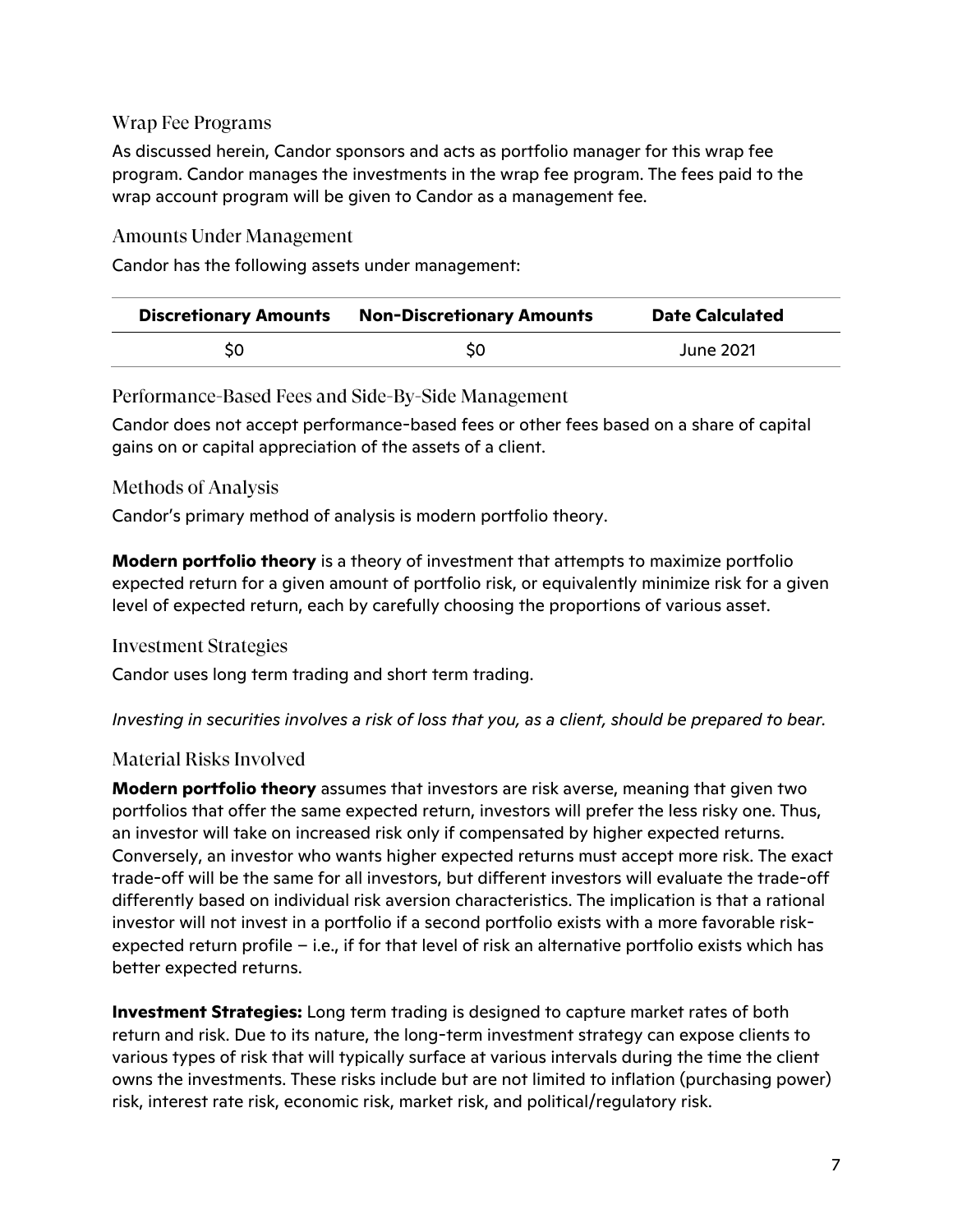#### Wrap Fee Programs

As discussed herein, Candor sponsors and acts as portfolio manager for this wrap fee program. Candor manages the investments in the wrap fee program. The fees paid to the wrap account program will be given to Candor as a management fee.

#### Amounts Under Management

Candor has the following assets under management:

| <b>Discretionary Amounts</b> | <b>Non-Discretionary Amounts</b> | <b>Date Calculated</b> |
|------------------------------|----------------------------------|------------------------|
| S0                           | SO                               | June 2021              |

Performance-Based Fees and Side-By-Side Management

Candor does not accept performance-based fees or other fees based on a share of capital gains on or capital appreciation of the assets of a client.

#### Methods of Analysis

Candor's primary method of analysis is modern portfolio theory.

**Modern portfolio theory** is a theory of investment that attempts to maximize portfolio expected return for a given amount of portfolio risk, or equivalently minimize risk for a given level of expected return, each by carefully choosing the proportions of various asset.

#### Investment Strategies

Candor uses long term trading and short term trading.

*Investing in securities involves a risk of loss that you, as a client, should be prepared to bear.*

#### Material Risks Involved

**Modern portfolio theory** assumes that investors are risk averse, meaning that given two portfolios that offer the same expected return, investors will prefer the less risky one. Thus, an investor will take on increased risk only if compensated by higher expected returns. Conversely, an investor who wants higher expected returns must accept more risk. The exact trade-off will be the same for all investors, but different investors will evaluate the trade-off differently based on individual risk aversion characteristics. The implication is that a rational investor will not invest in a portfolio if a second portfolio exists with a more favorable riskexpected return profile – i.e., if for that level of risk an alternative portfolio exists which has better expected returns.

**Investment Strategies:** Long term trading is designed to capture market rates of both return and risk. Due to its nature, the long-term investment strategy can expose clients to various types of risk that will typically surface at various intervals during the time the client owns the investments. These risks include but are not limited to inflation (purchasing power) risk, interest rate risk, economic risk, market risk, and political/regulatory risk.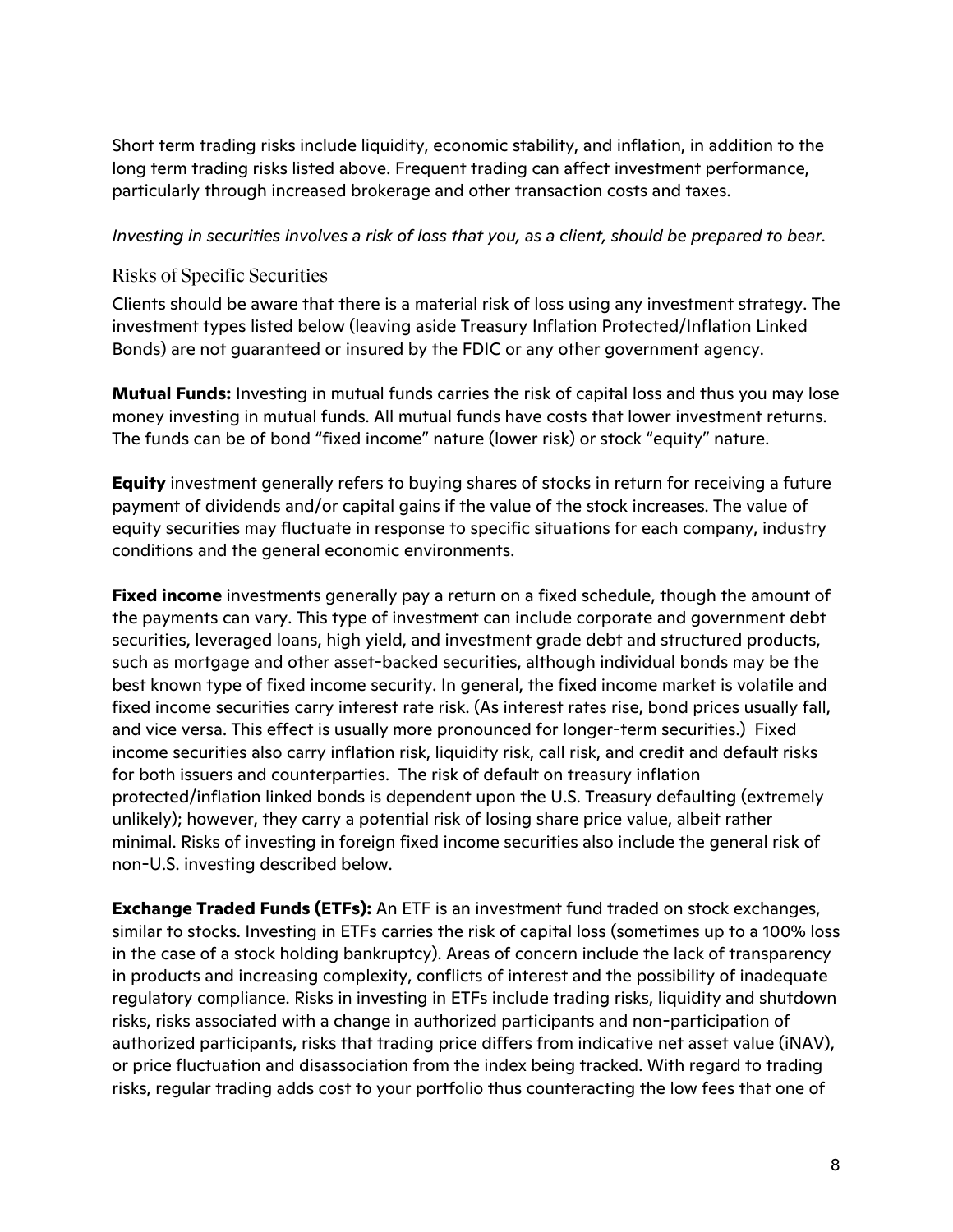Short term trading risks include liquidity, economic stability, and inflation, in addition to the long term trading risks listed above. Frequent trading can affect investment performance, particularly through increased brokerage and other transaction costs and taxes.

#### *Investing in securities involves a risk of loss that you, as a client, should be prepared to bear.*

#### Risks of Specific Securities

Clients should be aware that there is a material risk of loss using any investment strategy. The investment types listed below (leaving aside Treasury Inflation Protected/Inflation Linked Bonds) are not guaranteed or insured by the FDIC or any other government agency.

**Mutual Funds:** Investing in mutual funds carries the risk of capital loss and thus you may lose money investing in mutual funds. All mutual funds have costs that lower investment returns. The funds can be of bond "fixed income" nature (lower risk) or stock "equity" nature.

**Equity** investment generally refers to buying shares of stocks in return for receiving a future payment of dividends and/or capital gains if the value of the stock increases. The value of equity securities may fluctuate in response to specific situations for each company, industry conditions and the general economic environments.

**Fixed income** investments generally pay a return on a fixed schedule, though the amount of the payments can vary. This type of investment can include corporate and government debt securities, leveraged loans, high yield, and investment grade debt and structured products, such as mortgage and other asset-backed securities, although individual bonds may be the best known type of fixed income security. In general, the fixed income market is volatile and fixed income securities carry interest rate risk. (As interest rates rise, bond prices usually fall, and vice versa. This effect is usually more pronounced for longer-term securities.) Fixed income securities also carry inflation risk, liquidity risk, call risk, and credit and default risks for both issuers and counterparties. The risk of default on treasury inflation protected/inflation linked bonds is dependent upon the U.S. Treasury defaulting (extremely unlikely); however, they carry a potential risk of losing share price value, albeit rather minimal. Risks of investing in foreign fixed income securities also include the general risk of non-U.S. investing described below.

**Exchange Traded Funds (ETFs):** An ETF is an investment fund traded on stock exchanges, similar to stocks. Investing in ETFs carries the risk of capital loss (sometimes up to a 100% loss in the case of a stock holding bankruptcy). Areas of concern include the lack of transparency in products and increasing complexity, conflicts of interest and the possibility of inadequate regulatory compliance. Risks in investing in ETFs include trading risks, liquidity and shutdown risks, risks associated with a change in authorized participants and non-participation of authorized participants, risks that trading price differs from indicative net asset value (iNAV), or price fluctuation and disassociation from the index being tracked. With regard to trading risks, regular trading adds cost to your portfolio thus counteracting the low fees that one of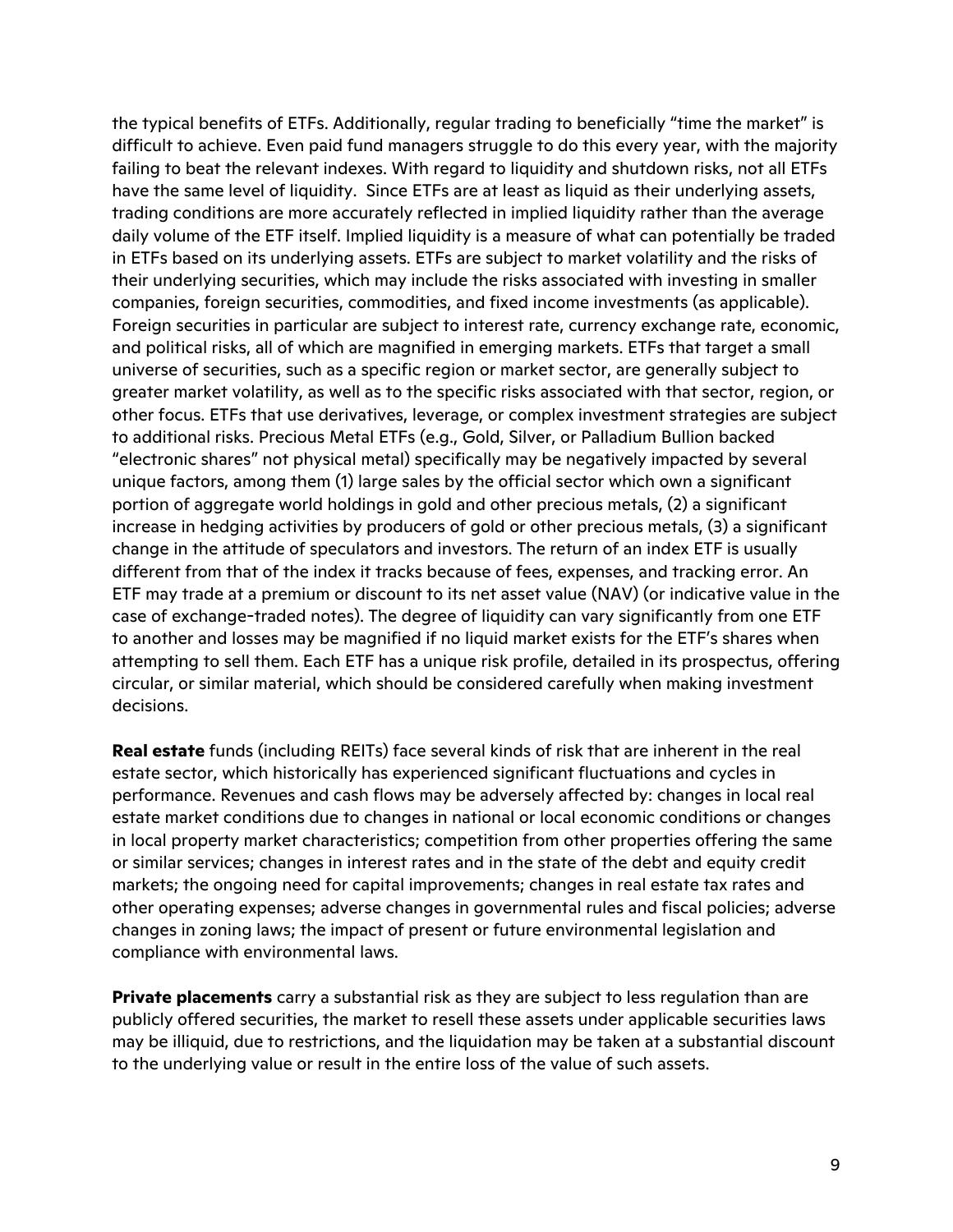the typical benefits of ETFs. Additionally, regular trading to beneficially "time the market" is difficult to achieve. Even paid fund managers struggle to do this every year, with the majority failing to beat the relevant indexes. With regard to liquidity and shutdown risks, not all ETFs have the same level of liquidity. Since ETFs are at least as liquid as their underlying assets, trading conditions are more accurately reflected in implied liquidity rather than the average daily volume of the ETF itself. Implied liquidity is a measure of what can potentially be traded in ETFs based on its underlying assets. ETFs are subject to market volatility and the risks of their underlying securities, which may include the risks associated with investing in smaller companies, foreign securities, commodities, and fixed income investments (as applicable). Foreign securities in particular are subject to interest rate, currency exchange rate, economic, and political risks, all of which are magnified in emerging markets. ETFs that target a small universe of securities, such as a specific region or market sector, are generally subject to greater market volatility, as well as to the specific risks associated with that sector, region, or other focus. ETFs that use derivatives, leverage, or complex investment strategies are subject to additional risks. Precious Metal ETFs (e.g., Gold, Silver, or Palladium Bullion backed "electronic shares" not physical metal) specifically may be negatively impacted by several unique factors, among them (1) large sales by the official sector which own a significant portion of aggregate world holdings in gold and other precious metals, (2) a significant increase in hedging activities by producers of gold or other precious metals, (3) a significant change in the attitude of speculators and investors. The return of an index ETF is usually different from that of the index it tracks because of fees, expenses, and tracking error. An ETF may trade at a premium or discount to its net asset value (NAV) (or indicative value in the case of exchange-traded notes). The degree of liquidity can vary significantly from one ETF to another and losses may be magnified if no liquid market exists for the ETF's shares when attempting to sell them. Each ETF has a unique risk profile, detailed in its prospectus, offering circular, or similar material, which should be considered carefully when making investment decisions.

**Real estate** funds (including REITs) face several kinds of risk that are inherent in the real estate sector, which historically has experienced significant fluctuations and cycles in performance. Revenues and cash flows may be adversely affected by: changes in local real estate market conditions due to changes in national or local economic conditions or changes in local property market characteristics; competition from other properties offering the same or similar services; changes in interest rates and in the state of the debt and equity credit markets; the ongoing need for capital improvements; changes in real estate tax rates and other operating expenses; adverse changes in governmental rules and fiscal policies; adverse changes in zoning laws; the impact of present or future environmental legislation and compliance with environmental laws.

**Private placements** carry a substantial risk as they are subject to less regulation than are publicly offered securities, the market to resell these assets under applicable securities laws may be illiquid, due to restrictions, and the liquidation may be taken at a substantial discount to the underlying value or result in the entire loss of the value of such assets.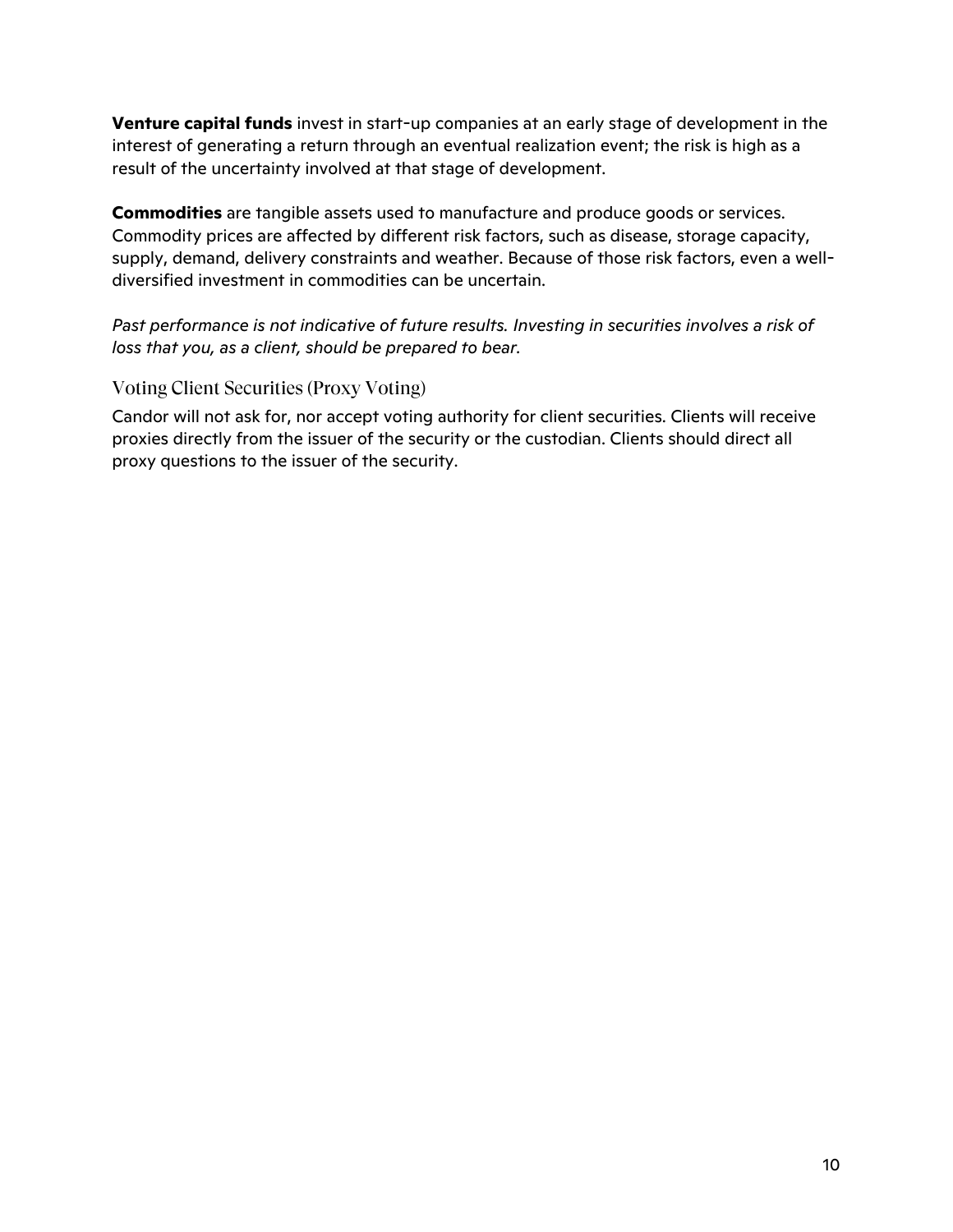**Venture capital funds** invest in start-up companies at an early stage of development in the interest of generating a return through an eventual realization event; the risk is high as a result of the uncertainty involved at that stage of development.

**Commodities** are tangible assets used to manufacture and produce goods or services. Commodity prices are affected by different risk factors, such as disease, storage capacity, supply, demand, delivery constraints and weather. Because of those risk factors, even a welldiversified investment in commodities can be uncertain.

*Past performance is not indicative of future results. Investing in securities involves a risk of loss that you, as a client, should be prepared to bear.*

#### Voting Client Securities (Proxy Voting)

Candor will not ask for, nor accept voting authority for client securities. Clients will receive proxies directly from the issuer of the security or the custodian. Clients should direct all proxy questions to the issuer of the security.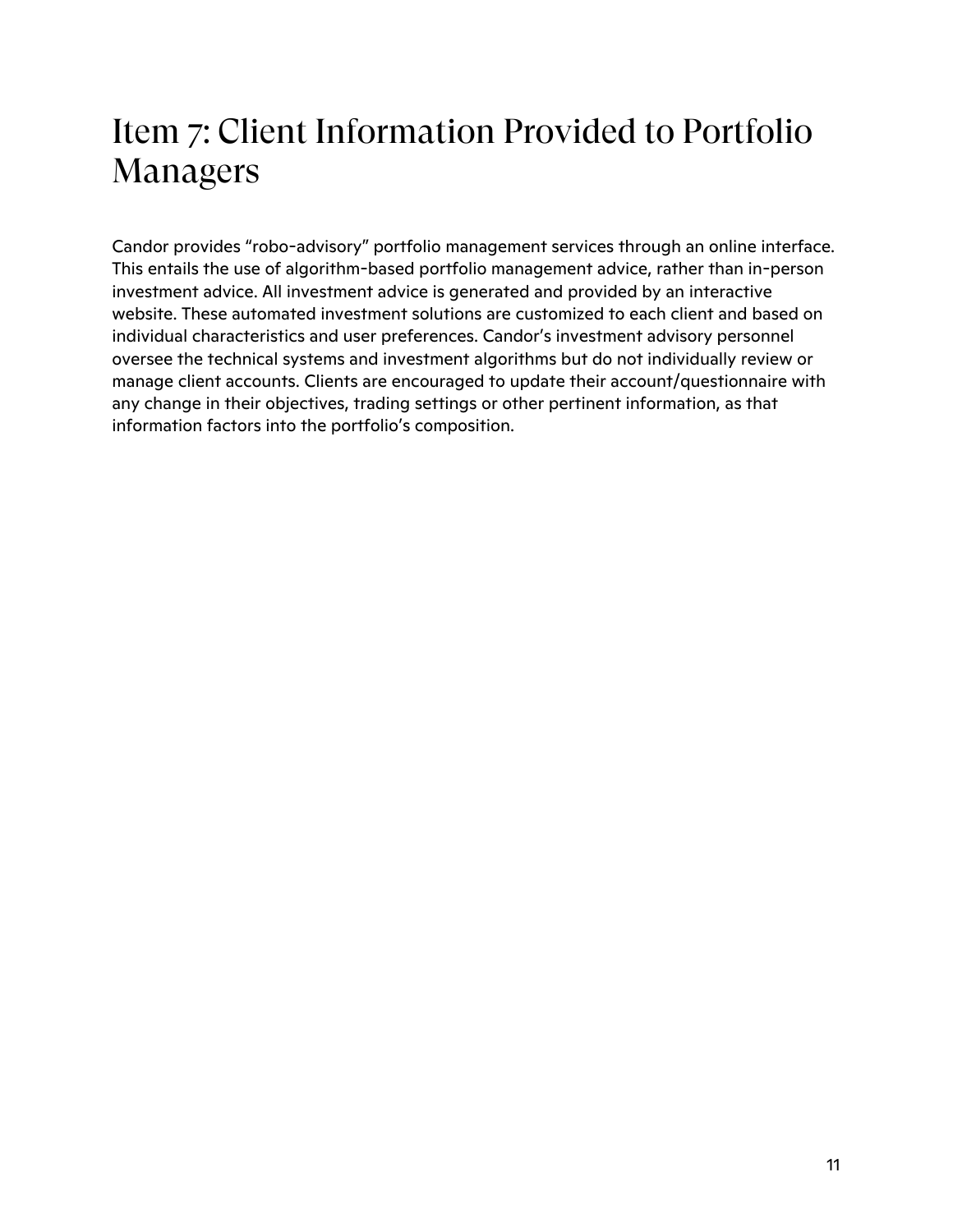# Item 7: Client Information Provided to Portfolio Managers

Candor provides "robo-advisory" portfolio management services through an online interface. This entails the use of algorithm-based portfolio management advice, rather than in-person investment advice. All investment advice is generated and provided by an interactive website. These automated investment solutions are customized to each client and based on individual characteristics and user preferences. Candor's investment advisory personnel oversee the technical systems and investment algorithms but do not individually review or manage client accounts. Clients are encouraged to update their account/questionnaire with any change in their objectives, trading settings or other pertinent information, as that information factors into the portfolio's composition.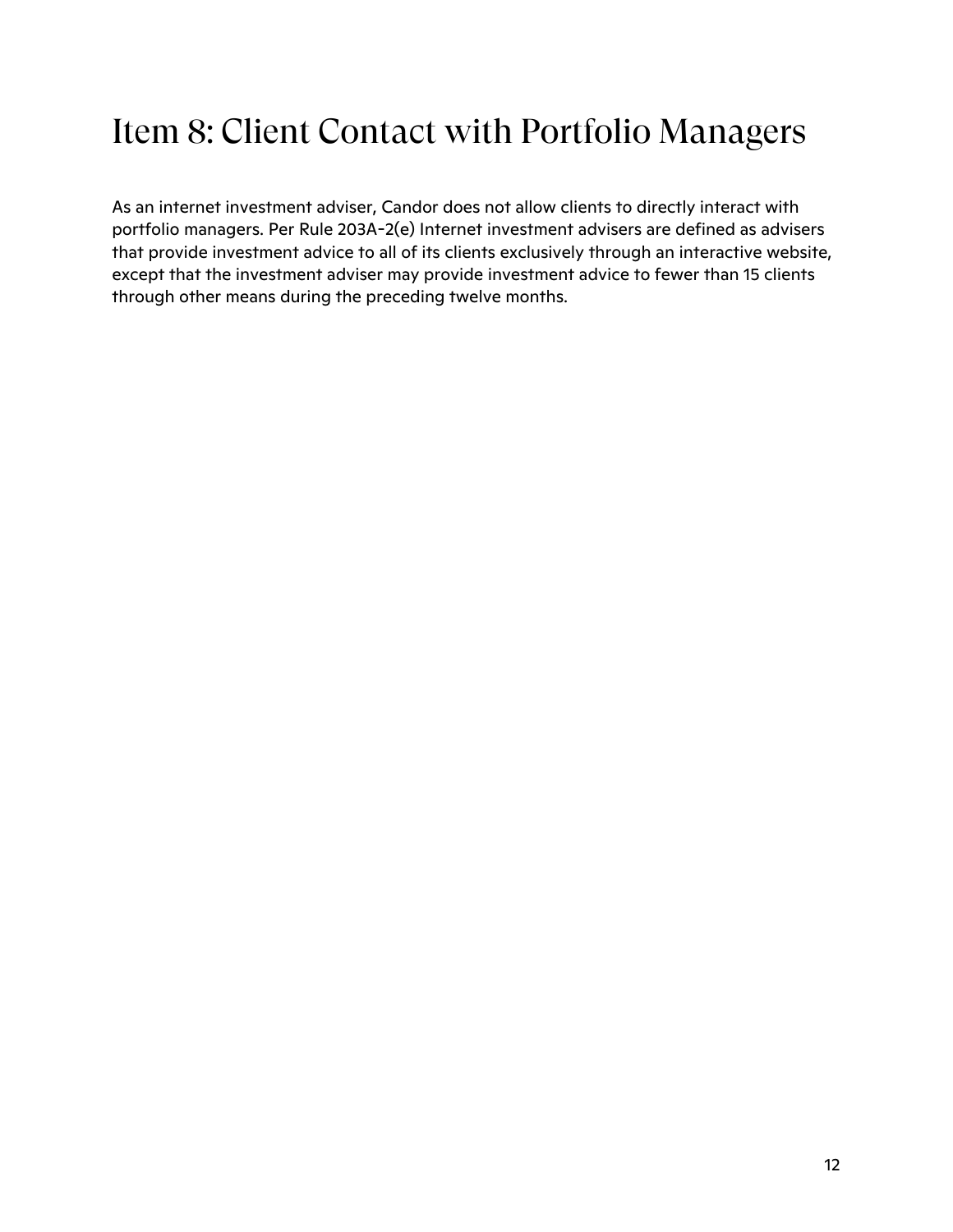# Item 8: Client Contact with Portfolio Managers

As an internet investment adviser, Candor does not allow clients to directly interact with portfolio managers. Per Rule 203A-2(e) Internet investment advisers are defined as advisers that provide investment advice to all of its clients exclusively through an interactive website, except that the investment adviser may provide investment advice to fewer than 15 clients through other means during the preceding twelve months.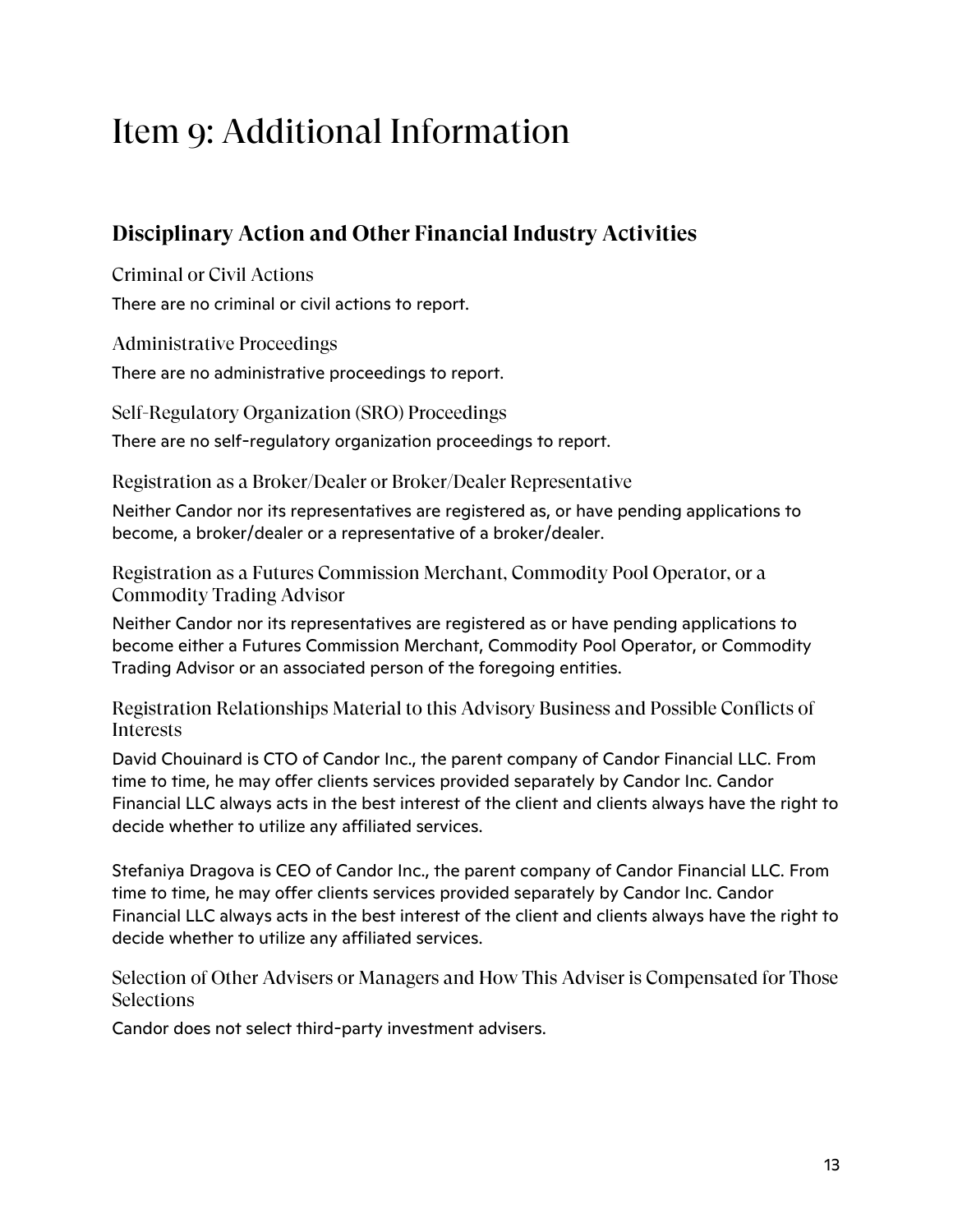# Item 9: Additional Information

### **Disciplinary Action and Other Financial Industry Activities**

Criminal or Civil Actions

There are no criminal or civil actions to report.

Administrative Proceedings

There are no administrative proceedings to report.

Self-Regulatory Organization (SRO) Proceedings

There are no self-regulatory organization proceedings to report.

Registration as a Broker/Dealer or Broker/Dealer Representative

Neither Candor nor its representatives are registered as, or have pending applications to become, a broker/dealer or a representative of a broker/dealer.

Registration as a Futures Commission Merchant, Commodity Pool Operator, or a Commodity Trading Advisor

Neither Candor nor its representatives are registered as or have pending applications to become either a Futures Commission Merchant, Commodity Pool Operator, or Commodity Trading Advisor or an associated person of the foregoing entities.

Registration Relationships Material to this Advisory Business and Possible Conflicts of Interests

David Chouinard is CTO of Candor Inc., the parent company of Candor Financial LLC. From time to time, he may offer clients services provided separately by Candor Inc. Candor Financial LLC always acts in the best interest of the client and clients always have the right to decide whether to utilize any affiliated services.

Stefaniya Dragova is CEO of Candor Inc., the parent company of Candor Financial LLC. From time to time, he may offer clients services provided separately by Candor Inc. Candor Financial LLC always acts in the best interest of the client and clients always have the right to decide whether to utilize any affiliated services.

Selection of Other Advisers or Managers and How This Adviser is Compensated for Those **Selections** 

Candor does not select third-party investment advisers.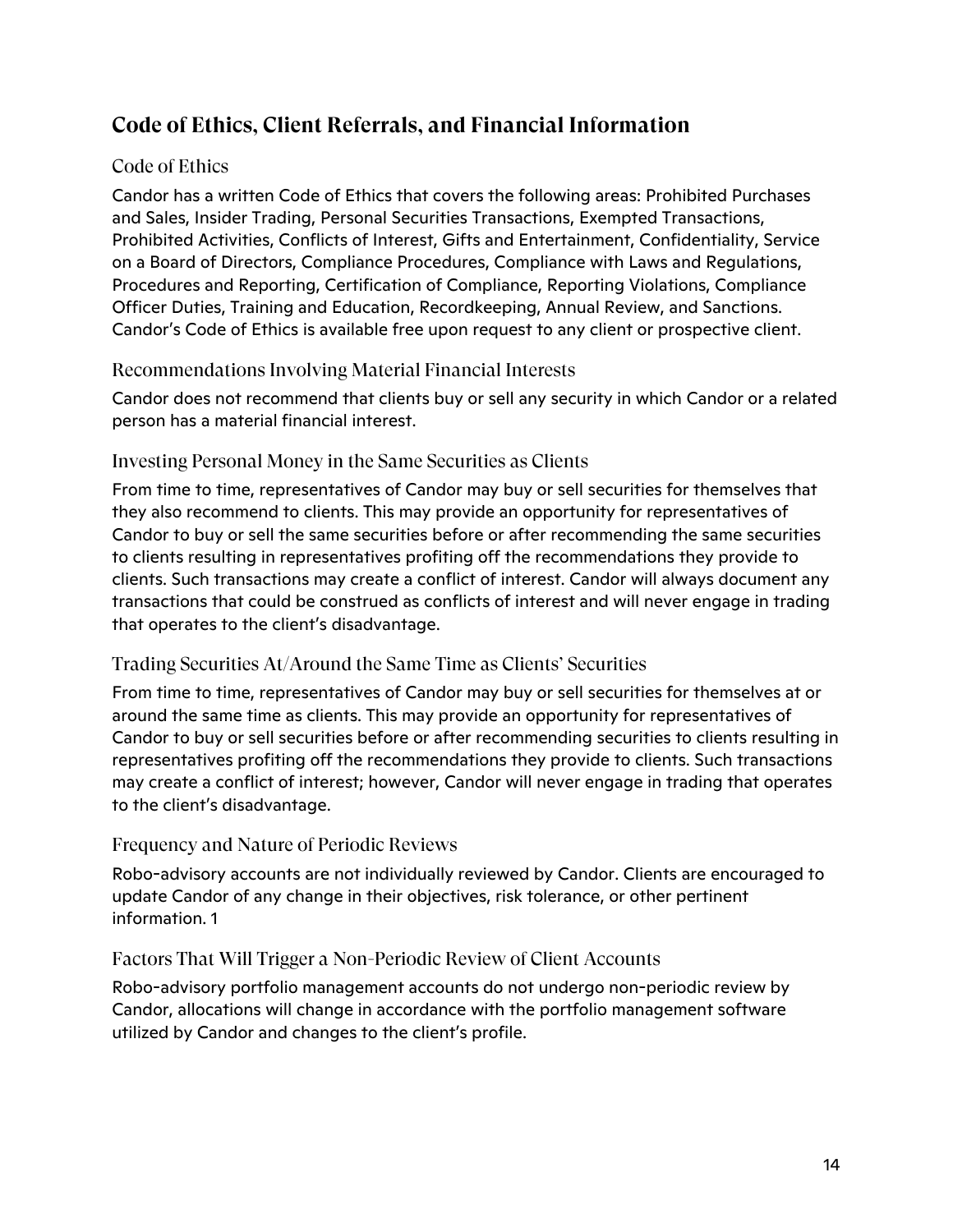### **Code of Ethics, Client Referrals, and Financial Information**

#### Code of Ethics

Candor has a written Code of Ethics that covers the following areas: Prohibited Purchases and Sales, Insider Trading, Personal Securities Transactions, Exempted Transactions, Prohibited Activities, Conflicts of Interest, Gifts and Entertainment, Confidentiality, Service on a Board of Directors, Compliance Procedures, Compliance with Laws and Regulations, Procedures and Reporting, Certification of Compliance, Reporting Violations, Compliance Officer Duties, Training and Education, Recordkeeping, Annual Review, and Sanctions. Candor's Code of Ethics is available free upon request to any client or prospective client.

#### Recommendations Involving Material Financial Interests

Candor does not recommend that clients buy or sell any security in which Candor or a related person has a material financial interest.

#### Investing Personal Money in the Same Securities as Clients

From time to time, representatives of Candor may buy or sell securities for themselves that they also recommend to clients. This may provide an opportunity for representatives of Candor to buy or sell the same securities before or after recommending the same securities to clients resulting in representatives profiting off the recommendations they provide to clients. Such transactions may create a conflict of interest. Candor will always document any transactions that could be construed as conflicts of interest and will never engage in trading that operates to the client's disadvantage.

#### Trading Securities At/Around the Same Time as Clients' Securities

From time to time, representatives of Candor may buy or sell securities for themselves at or around the same time as clients. This may provide an opportunity for representatives of Candor to buy or sell securities before or after recommending securities to clients resulting in representatives profiting off the recommendations they provide to clients. Such transactions may create a conflict of interest; however, Candor will never engage in trading that operates to the client's disadvantage.

#### Frequency and Nature of Periodic Reviews

Robo-advisory accounts are not individually reviewed by Candor. Clients are encouraged to update Candor of any change in their objectives, risk tolerance, or other pertinent information. 1

#### Factors That Will Trigger a Non-Periodic Review of Client Accounts

Robo-advisory portfolio management accounts do not undergo non-periodic review by Candor, allocations will change in accordance with the portfolio management software utilized by Candor and changes to the client's profile.